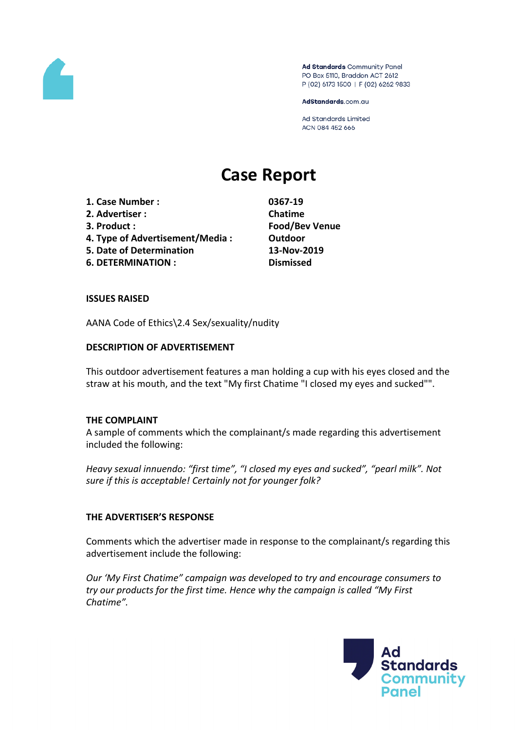

Ad Standards Community Panel PO Box 5110, Braddon ACT 2612 P (02) 6173 1500 | F (02) 6262 9833

AdStandards.com.au

Ad Standards Limited ACN 084 452 666

# **Case Report**

- **1. Case Number : 0367-19**
- **2. Advertiser : Chatime**
- 
- **4. Type of Advertisement/Media : Outdoor**
- **5. Date of Determination 13-Nov-2019**
- **6. DETERMINATION : Dismissed**

**3. Product : Food/Bev Venue**

## **ISSUES RAISED**

AANA Code of Ethics\2.4 Sex/sexuality/nudity

## **DESCRIPTION OF ADVERTISEMENT**

This outdoor advertisement features a man holding a cup with his eyes closed and the straw at his mouth, and the text "My first Chatime "I closed my eyes and sucked"".

### **THE COMPLAINT**

A sample of comments which the complainant/s made regarding this advertisement included the following:

*Heavy sexual innuendo: "first time", "I closed my eyes and sucked", "pearl milk". Not sure if this is acceptable! Certainly not for younger folk?*

### **THE ADVERTISER'S RESPONSE**

Comments which the advertiser made in response to the complainant/s regarding this advertisement include the following:

*Our 'My First Chatime" campaign was developed to try and encourage consumers to try our products for the first time. Hence why the campaign is called "My First Chatime".*

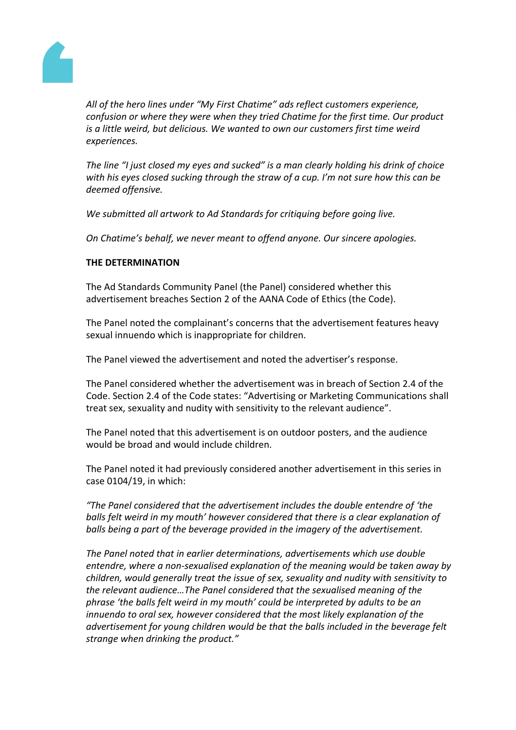

*All of the hero lines under "My First Chatime" ads reflect customers experience, confusion or where they were when they tried Chatime for the first time. Our product is a little weird, but delicious. We wanted to own our customers first time weird experiences.*

*The line "I just closed my eyes and sucked" is a man clearly holding his drink of choice with his eyes closed sucking through the straw of a cup. I'm not sure how this can be deemed offensive.*

*We submitted all artwork to Ad Standards for critiquing before going live.*

*On Chatime's behalf, we never meant to offend anyone. Our sincere apologies.*

#### **THE DETERMINATION**

The Ad Standards Community Panel (the Panel) considered whether this advertisement breaches Section 2 of the AANA Code of Ethics (the Code).

The Panel noted the complainant's concerns that the advertisement features heavy sexual innuendo which is inappropriate for children.

The Panel viewed the advertisement and noted the advertiser's response.

The Panel considered whether the advertisement was in breach of Section 2.4 of the Code. Section 2.4 of the Code states: "Advertising or Marketing Communications shall treat sex, sexuality and nudity with sensitivity to the relevant audience".

The Panel noted that this advertisement is on outdoor posters, and the audience would be broad and would include children.

The Panel noted it had previously considered another advertisement in this series in case 0104/19, in which:

*"The Panel considered that the advertisement includes the double entendre of 'the balls felt weird in my mouth' however considered that there is a clear explanation of balls being a part of the beverage provided in the imagery of the advertisement.*

*The Panel noted that in earlier determinations, advertisements which use double entendre, where a non-sexualised explanation of the meaning would be taken away by children, would generally treat the issue of sex, sexuality and nudity with sensitivity to the relevant audience…The Panel considered that the sexualised meaning of the phrase 'the balls felt weird in my mouth' could be interpreted by adults to be an innuendo to oral sex, however considered that the most likely explanation of the advertisement for young children would be that the balls included in the beverage felt strange when drinking the product."*